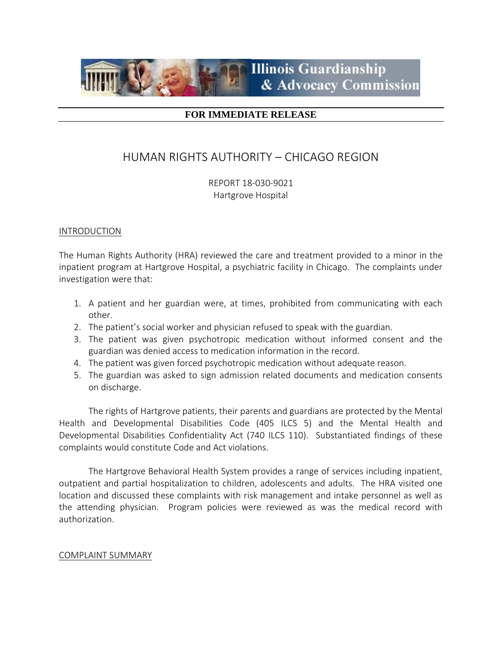

## **FOR IMMEDIATE RELEASE**

# HUMAN RIGHTS AUTHORITY – CHICAGO REGION

REPORT 18-030-9021 Hartgrove Hospital

### INTRODUCTION

The Human Rights Authority (HRA) reviewed the care and treatment provided to a minor in the inpatient program at Hartgrove Hospital, a psychiatric facility in Chicago. The complaints under investigation were that:

- 1. A patient and her guardian were, at times, prohibited from communicating with each other.
- 2. The patient's social worker and physician refused to speak with the guardian.
- 3. The patient was given psychotropic medication without informed consent and the guardian was denied access to medication information in the record.
- 4. The patient was given forced psychotropic medication without adequate reason.
- 5. The guardian was asked to sign admission related documents and medication consents on discharge.

The rights of Hartgrove patients, their parents and guardians are protected by the Mental Health and Developmental Disabilities Code (405 ILCS 5) and the Mental Health and Developmental Disabilities Confidentiality Act (740 ILCS 110). Substantiated findings of these complaints would constitute Code and Act violations.

The Hartgrove Behavioral Health System provides a range of services including inpatient, outpatient and partial hospitalization to children, adolescents and adults. The HRA visited one location and discussed these complaints with risk management and intake personnel as well as the attending physician. Program policies were reviewed as was the medical record with authorization.

#### COMPLAINT SUMMARY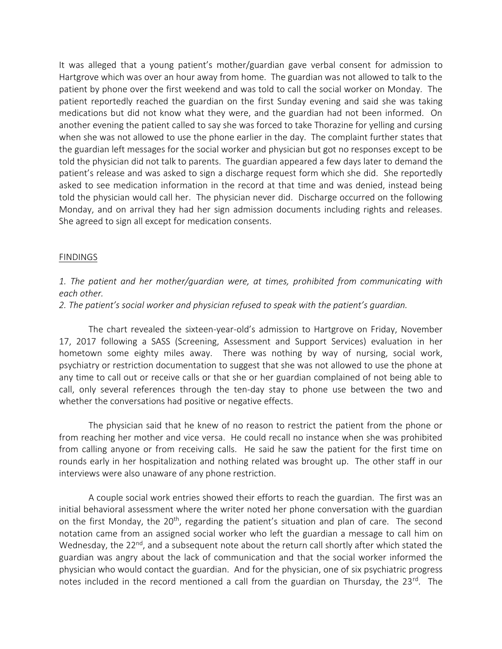It was alleged that a young patient's mother/guardian gave verbal consent for admission to Hartgrove which was over an hour away from home. The guardian was not allowed to talk to the patient by phone over the first weekend and was told to call the social worker on Monday. The patient reportedly reached the guardian on the first Sunday evening and said she was taking medications but did not know what they were, and the guardian had not been informed. On another evening the patient called to say she was forced to take Thorazine for yelling and cursing when she was not allowed to use the phone earlier in the day. The complaint further states that the guardian left messages for the social worker and physician but got no responses except to be told the physician did not talk to parents. The guardian appeared a few days later to demand the patient's release and was asked to sign a discharge request form which she did. She reportedly asked to see medication information in the record at that time and was denied, instead being told the physician would call her. The physician never did. Discharge occurred on the following Monday, and on arrival they had her sign admission documents including rights and releases. She agreed to sign all except for medication consents.

#### FINDINGS

## *1. The patient and her mother/guardian were, at times, prohibited from communicating with each other.*

### *2. The patient's social worker and physician refused to speak with the patient's guardian.*

The chart revealed the sixteen-year-old's admission to Hartgrove on Friday, November 17, 2017 following a SASS (Screening, Assessment and Support Services) evaluation in her hometown some eighty miles away. There was nothing by way of nursing, social work, psychiatry or restriction documentation to suggest that she was not allowed to use the phone at any time to call out or receive calls or that she or her guardian complained of not being able to call, only several references through the ten-day stay to phone use between the two and whether the conversations had positive or negative effects.

The physician said that he knew of no reason to restrict the patient from the phone or from reaching her mother and vice versa. He could recall no instance when she was prohibited from calling anyone or from receiving calls. He said he saw the patient for the first time on rounds early in her hospitalization and nothing related was brought up. The other staff in our interviews were also unaware of any phone restriction.

A couple social work entries showed their efforts to reach the guardian. The first was an initial behavioral assessment where the writer noted her phone conversation with the guardian on the first Monday, the 20<sup>th</sup>, regarding the patient's situation and plan of care. The second notation came from an assigned social worker who left the guardian a message to call him on Wednesday, the 22<sup>nd</sup>, and a subsequent note about the return call shortly after which stated the guardian was angry about the lack of communication and that the social worker informed the physician who would contact the guardian. And for the physician, one of six psychiatric progress notes included in the record mentioned a call from the guardian on Thursday, the 23<sup>rd</sup>. The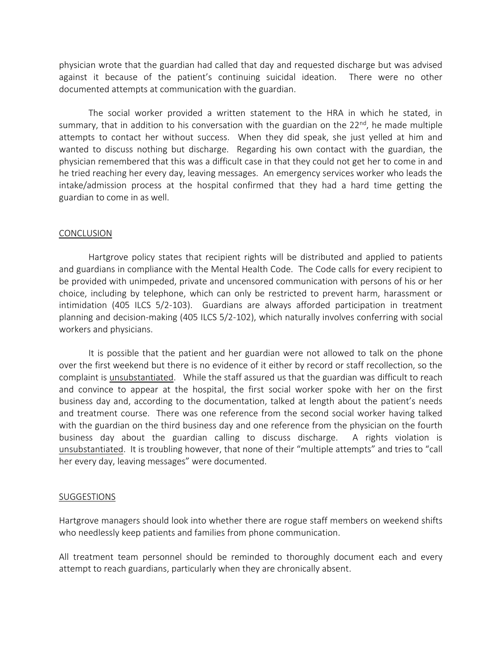physician wrote that the guardian had called that day and requested discharge but was advised against it because of the patient's continuing suicidal ideation. There were no other documented attempts at communication with the guardian.

The social worker provided a written statement to the HRA in which he stated, in summary, that in addition to his conversation with the guardian on the  $22^{nd}$ , he made multiple attempts to contact her without success. When they did speak, she just yelled at him and wanted to discuss nothing but discharge. Regarding his own contact with the guardian, the physician remembered that this was a difficult case in that they could not get her to come in and he tried reaching her every day, leaving messages. An emergency services worker who leads the intake/admission process at the hospital confirmed that they had a hard time getting the guardian to come in as well.

#### **CONCLUSION**

Hartgrove policy states that recipient rights will be distributed and applied to patients and guardians in compliance with the Mental Health Code. The Code calls for every recipient to be provided with unimpeded, private and uncensored communication with persons of his or her choice, including by telephone, which can only be restricted to prevent harm, harassment or intimidation (405 ILCS 5/2-103). Guardians are always afforded participation in treatment planning and decision-making (405 ILCS 5/2-102), which naturally involves conferring with social workers and physicians.

It is possible that the patient and her guardian were not allowed to talk on the phone over the first weekend but there is no evidence of it either by record or staff recollection, so the complaint is unsubstantiated. While the staff assured us that the guardian was difficult to reach and convince to appear at the hospital, the first social worker spoke with her on the first business day and, according to the documentation, talked at length about the patient's needs and treatment course. There was one reference from the second social worker having talked with the guardian on the third business day and one reference from the physician on the fourth business day about the guardian calling to discuss discharge. A rights violation is unsubstantiated. It is troubling however, that none of their "multiple attempts" and tries to "call her every day, leaving messages" were documented.

#### SUGGESTIONS

Hartgrove managers should look into whether there are rogue staff members on weekend shifts who needlessly keep patients and families from phone communication.

All treatment team personnel should be reminded to thoroughly document each and every attempt to reach guardians, particularly when they are chronically absent.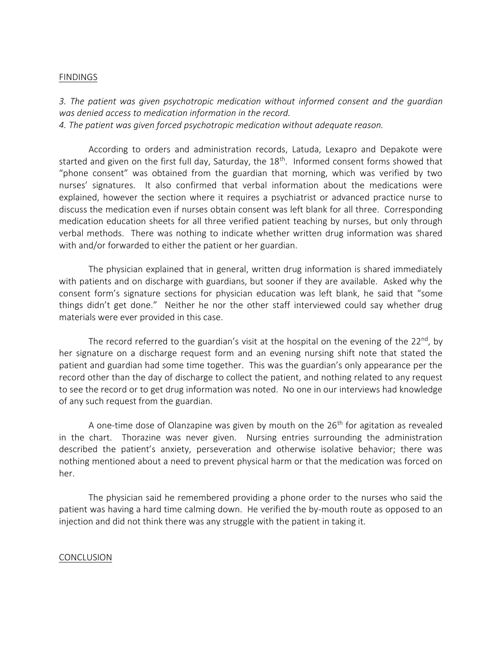#### FINDINGS

*3. The patient was given psychotropic medication without informed consent and the guardian was denied access to medication information in the record. 4. The patient was given forced psychotropic medication without adequate reason.*

According to orders and administration records, Latuda, Lexapro and Depakote were started and given on the first full day, Saturday, the 18<sup>th</sup>. Informed consent forms showed that "phone consent" was obtained from the guardian that morning, which was verified by two nurses' signatures. It also confirmed that verbal information about the medications were explained, however the section where it requires a psychiatrist or advanced practice nurse to discuss the medication even if nurses obtain consent was left blank for all three. Corresponding medication education sheets for all three verified patient teaching by nurses, but only through verbal methods. There was nothing to indicate whether written drug information was shared with and/or forwarded to either the patient or her guardian.

The physician explained that in general, written drug information is shared immediately with patients and on discharge with guardians, but sooner if they are available. Asked why the consent form's signature sections for physician education was left blank, he said that "some things didn't get done." Neither he nor the other staff interviewed could say whether drug materials were ever provided in this case.

The record referred to the guardian's visit at the hospital on the evening of the 22<sup>nd</sup>, by her signature on a discharge request form and an evening nursing shift note that stated the patient and guardian had some time together. This was the guardian's only appearance per the record other than the day of discharge to collect the patient, and nothing related to any request to see the record or to get drug information was noted. No one in our interviews had knowledge of any such request from the guardian.

A one-time dose of Olanzapine was given by mouth on the  $26<sup>th</sup>$  for agitation as revealed in the chart. Thorazine was never given. Nursing entries surrounding the administration described the patient's anxiety, perseveration and otherwise isolative behavior; there was nothing mentioned about a need to prevent physical harm or that the medication was forced on her.

The physician said he remembered providing a phone order to the nurses who said the patient was having a hard time calming down. He verified the by-mouth route as opposed to an injection and did not think there was any struggle with the patient in taking it.

#### CONCLUSION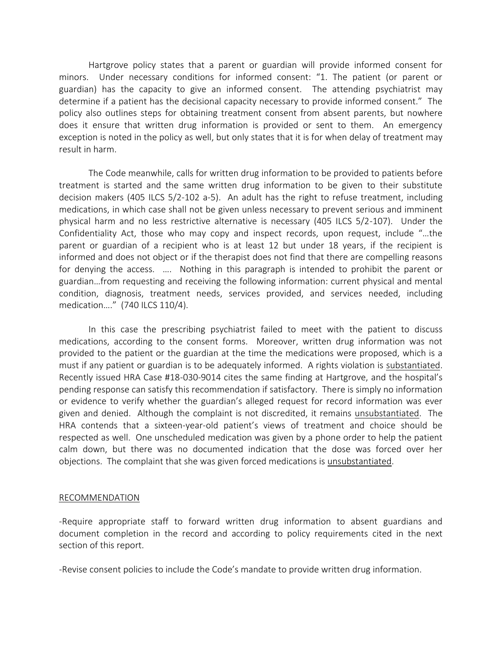Hartgrove policy states that a parent or guardian will provide informed consent for minors. Under necessary conditions for informed consent: "1. The patient (or parent or guardian) has the capacity to give an informed consent. The attending psychiatrist may determine if a patient has the decisional capacity necessary to provide informed consent." The policy also outlines steps for obtaining treatment consent from absent parents, but nowhere does it ensure that written drug information is provided or sent to them. An emergency exception is noted in the policy as well, but only states that it is for when delay of treatment may result in harm.

The Code meanwhile, calls for written drug information to be provided to patients before treatment is started and the same written drug information to be given to their substitute decision makers (405 ILCS 5/2-102 a-5). An adult has the right to refuse treatment, including medications, in which case shall not be given unless necessary to prevent serious and imminent physical harm and no less restrictive alternative is necessary (405 ILCS 5/2-107). Under the Confidentiality Act, those who may copy and inspect records, upon request, include "…the parent or guardian of a recipient who is at least 12 but under 18 years, if the recipient is informed and does not object or if the therapist does not find that there are compelling reasons for denying the access. …. Nothing in this paragraph is intended to prohibit the parent or guardian…from requesting and receiving the following information: current physical and mental condition, diagnosis, treatment needs, services provided, and services needed, including medication…." (740 ILCS 110/4).

In this case the prescribing psychiatrist failed to meet with the patient to discuss medications, according to the consent forms. Moreover, written drug information was not provided to the patient or the guardian at the time the medications were proposed, which is a must if any patient or guardian is to be adequately informed. A rights violation is substantiated. Recently issued HRA Case #18-030-9014 cites the same finding at Hartgrove, and the hospital's pending response can satisfy this recommendation if satisfactory. There is simply no information or evidence to verify whether the guardian's alleged request for record information was ever given and denied. Although the complaint is not discredited, it remains unsubstantiated. The HRA contends that a sixteen-year-old patient's views of treatment and choice should be respected as well. One unscheduled medication was given by a phone order to help the patient calm down, but there was no documented indication that the dose was forced over her objections. The complaint that she was given forced medications is unsubstantiated.

#### RECOMMENDATION

-Require appropriate staff to forward written drug information to absent guardians and document completion in the record and according to policy requirements cited in the next section of this report.

-Revise consent policies to include the Code's mandate to provide written drug information.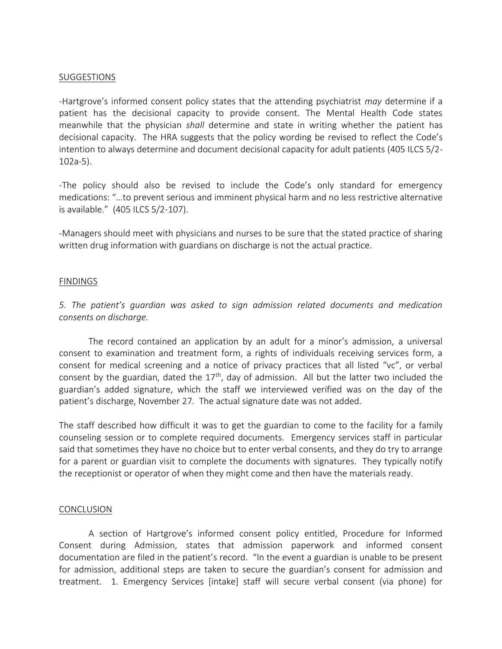#### SUGGESTIONS

-Hartgrove's informed consent policy states that the attending psychiatrist *may* determine if a patient has the decisional capacity to provide consent. The Mental Health Code states meanwhile that the physician *shall* determine and state in writing whether the patient has decisional capacity. The HRA suggests that the policy wording be revised to reflect the Code's intention to always determine and document decisional capacity for adult patients (405 ILCS 5/2- 102a-5).

-The policy should also be revised to include the Code's only standard for emergency medications: "…to prevent serious and imminent physical harm and no less restrictive alternative is available." (405 ILCS 5/2-107).

-Managers should meet with physicians and nurses to be sure that the stated practice of sharing written drug information with guardians on discharge is not the actual practice.

#### FINDINGS

*5. The patient's guardian was asked to sign admission related documents and medication consents on discharge.*

The record contained an application by an adult for a minor's admission, a universal consent to examination and treatment form, a rights of individuals receiving services form, a consent for medical screening and a notice of privacy practices that all listed "vc", or verbal consent by the guardian, dated the  $17<sup>th</sup>$ , day of admission. All but the latter two included the guardian's added signature, which the staff we interviewed verified was on the day of the patient's discharge, November 27. The actual signature date was not added.

The staff described how difficult it was to get the guardian to come to the facility for a family counseling session or to complete required documents. Emergency services staff in particular said that sometimes they have no choice but to enter verbal consents, and they do try to arrange for a parent or guardian visit to complete the documents with signatures. They typically notify the receptionist or operator of when they might come and then have the materials ready.

#### CONCLUSION

A section of Hartgrove's informed consent policy entitled, Procedure for Informed Consent during Admission, states that admission paperwork and informed consent documentation are filed in the patient's record. "In the event a guardian is unable to be present for admission, additional steps are taken to secure the guardian's consent for admission and treatment. 1. Emergency Services [intake] staff will secure verbal consent (via phone) for